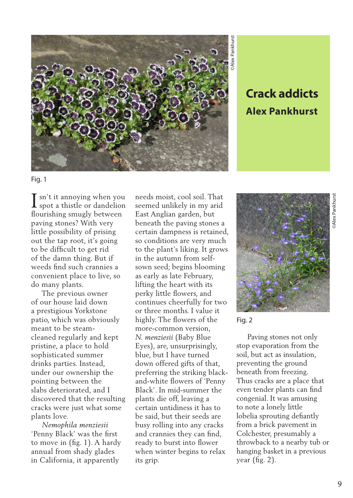

## **Alex Pankhurst**

Fig. 1

 $\mathbf T$  sn't it annoving when you I sn't it annoying when you<br>spot a thistle or dandelion flourishing smugly between paving stones? With very little possibility of prising out the tap root, it's going to be difficult to get rid of the damn thing. But if weeds find such crannies a convenient place to live, so do many plants.

 The previous owner of our house laid down a prestigious Yorkstone patio, which was obviously meant to be steamcleaned regularly and kept pristine, a place to hold sophisticated summer drinks parties. Instead, under our ownership the pointing between the slabs deteriorated, and I discovered that the resulting cracks were just what some plants love.

 *Nemophila menziesii*  'Penny Black' was the first to move in (fig. 1). A hardy annual from shady glades in California, it apparently

needs moist, cool soil. That seemed unlikely in my arid East Anglian garden, but beneath the paving stones a certain dampness is retained, so conditions are very much to the plant's liking. It grows in the autumn from selfsown seed; begins blooming as early as late February, lifting the heart with its perky little flowers, and continues cheerfully for two or three months. I value it highly. The flowers of the more-common version, *N. menziesii* (Baby Blue Eyes), are, unsurprisingly, blue, but I have turned down offered gifts of that, preferring the striking blackand-white flowers of 'Penny Black'. In mid-summer the plants die off, leaving a certain untidiness it has to be said, but their seeds are busy rolling into any cracks and crannies they can find, ready to burst into flower when winter begins to relax its grip.



Fig. 2

 Paving stones not only stop evaporation from the soil, but act as insulation, preventing the ground beneath from freezing. Thus cracks are a place that even tender plants can find congenial. It was amusing to note a lonely little lobelia sprouting defiantly from a brick pavement in Colchester, presumably a throwback to a nearby tub or hanging basket in a previous year (fig. 2).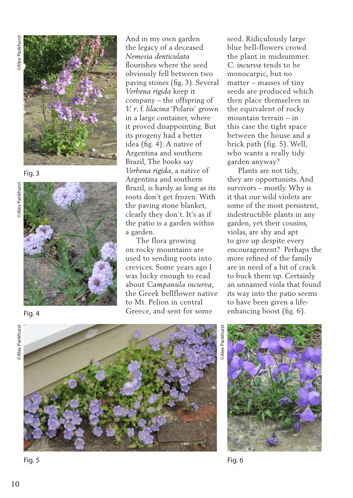

Fig. 3



And in my own garden the legacy of a deceased *Nemesia denticulata*  flourishes where the seed obviously fell between two paving stones (fig. 3). Several *Verbena rigida* keep it company – the offspring of *V. r*. f. *lilacina* 'Polaris' grown in a large container, where it proved disappointing. But its progeny had a better idea (fig. 4). A native of Argentina and southern Brazil, The books say *Verbena rigida*, a native of Argentina and southern Brazil, is hardy as long as its roots don't get frozen. With the paving stone blanket, clearly they don't. It's as if the patio is a garden within a garden.

 The flora growing on rocky mountains are used to sending roots into crevices. Some years ago I was lucky enough to read about *Campanula incurva*, the Greek bellflower native to Mt. Pelion in central Greece, and sent for some

seed. Ridiculously large blue bell-flowers crowd the plant in midsummer. *C. incurva* tends to be monocarpic, but no matter – masses of tiny seeds are produced which then place themselves in the equivalent of rocky mountain terrain – in this case the tight space between the house and a brick path (fig. 5). Well, who wants a really tidy garden anyway?

 Plants are not tidy, they are opportunists. And survivors – mostly. Why is it that our wild violets are some of the most persistent, indestructible plants in any garden, yet their cousins, violas, are shy and apt to give up despite every encouragement? Perhaps the more refined of the family are in need of a bit of crack to buck them up. Certainly an unnamed viola that found its way into the patio seems to have been given a lifeenhancing boost (fig. 6).







*<u>OAlex</u>* Pankhurst